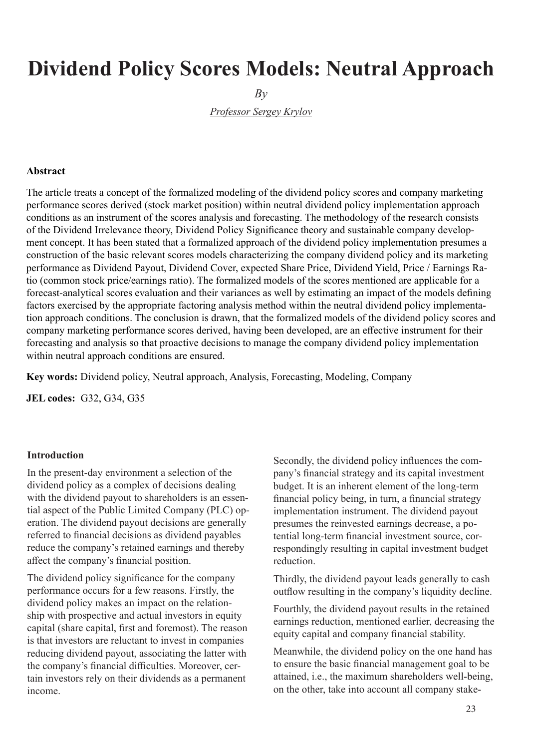# **Dividend Policy Scores Models: Neutral Approach**

 $Bv$ 

*Professor Sergey Krylov*

## **Abstract**

The article treats a concept of the formalized modeling of the dividend policy scores and company marketing performance scores derived (stock market position) within neutral dividend policy implementation approach conditions as an instrument of the scores analysis and forecasting. The methodology of the research consists of the Dividend Irrelevance theory, Dividend Policy Significance theory and sustainable company development concept. It has been stated that a formalized approach of the dividend policy implementation presumes a construction of the basic relevant scores models characterizing the company dividend policy and its marketing performance as Dividend Payout, Dividend Cover, expected Share Price, Dividend Yield, Price / Earnings Ratio (common stock price/earnings ratio). The formalized models of the scores mentioned are applicable for a forecast-analytical scores evaluation and their variances as well by estimating an impact of the models defining factors exercised by the appropriate factoring analysis method within the neutral dividend policy implementation approach conditions. The conclusion is drawn, that the formalized models of the dividend policy scores and company marketing performance scores derived, having been developed, are an effective instrument for their forecasting and analysis so that proactive decisions to manage the company dividend policy implementation within neutral approach conditions are ensured.

**Key words:** Dividend policy, Neutral approach, Analysis, Forecasting, Modeling, Company

**JEL codes:** G32, G34, G35

#### **Introduction**

In the present-day environment a selection of the dividend policy as a complex of decisions dealing with the dividend payout to shareholders is an essential aspect of the Public Limited Company (PLC) operation. The dividend payout decisions are generally referred to financial decisions as dividend payables reduce the company's retained earnings and thereby affect the company's financial position.

The dividend policy significance for the company performance occurs for a few reasons. Firstly, the dividend policy makes an impact on the relationship with prospective and actual investors in equity capital (share capital, first and foremost). The reason is that investors are reluctant to invest in companies reducing dividend payout, associating the latter with the company's financial difficulties. Moreover, certain investors rely on their dividends as a permanent income.

Secondly, the dividend policy influences the company's financial strategy and its capital investment budget. It is an inherent element of the long-term financial policy being, in turn, a financial strategy implementation instrument. The dividend payout presumes the reinvested earnings decrease, a potential long-term financial investment source, correspondingly resulting in capital investment budget reduction.

Thirdly, the dividend payout leads generally to cash outflow resulting in the company's liquidity decline.

Fourthly, the dividend payout results in the retained earnings reduction, mentioned earlier, decreasing the equity capital and company financial stability.

Meanwhile, the dividend policy on the one hand has to ensure the basic financial management goal to be attained, i.e., the maximum shareholders well-being, on the other, take into account all company stake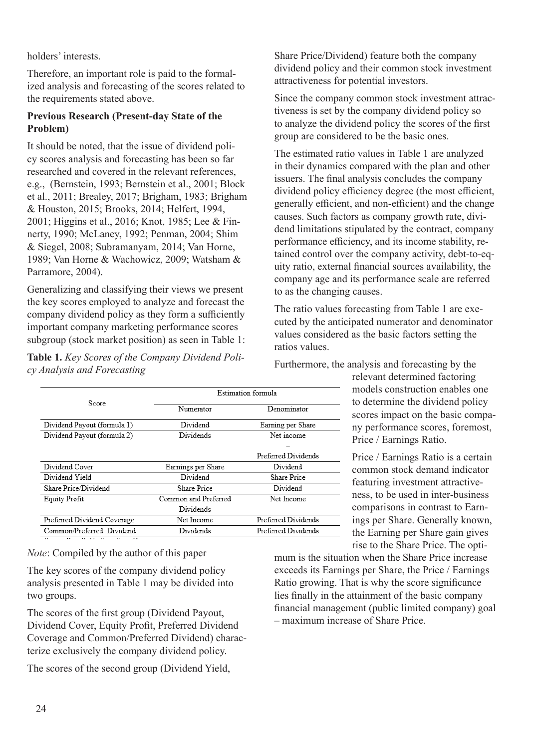holders' interests.

Therefore, an important role is paid to the formalized analysis and forecasting of the scores related to the requirements stated above.

## **Previous Research (Present-day State of the Problem)**

It should be noted, that the issue of dividend policy scores analysis and forecasting has been so far researched and covered in the relevant references, e.g., (Bernstein, 1993; Bernstein et al., 2001; Block et al., 2011; Brealey, 2017; Brigham, 1983; Brigham & Houston, 2015; Brooks, 2014; Helfert, 1994, 2001; Higgins et al., 2016; Knot, 1985; Lee & Finnerty, 1990; McLaney, 1992; Penman, 2004; Shim & Siegel, 2008; Subramanyam, 2014; Van Horne, 1989; Van Horne & Wachowicz, 2009; Watsham & Parramore, 2004).

Generalizing and classifying their views we present the key scores employed to analyze and forecast the company dividend policy as they form a sufficiently important company marketing performance scores subgroup (stock market position) as seen in Table 1:

**Table 1.** *Key Scores of the Company Dividend Policy Analysis and Forecasting*

Share Price/Dividend) feature both the company dividend policy and their common stock investment attractiveness for potential investors.

Since the company common stock investment attractiveness is set by the company dividend policy so to analyze the dividend policy the scores of the first group are considered to be the basic ones.

The estimated ratio values in Table 1 are analyzed in their dynamics compared with the plan and other issuers. The final analysis concludes the company dividend policy efficiency degree (the most efficient, generally efficient, and non-efficient) and the change causes. Such factors as company growth rate, dividend limitations stipulated by the contract, company performance efficiency, and its income stability, retained control over the company activity, debt-to-equity ratio, external financial sources availability, the company age and its performance scale are referred to as the changing causes.

The ratio values forecasting from Table 1 are executed by the anticipated numerator and denominator values considered as the basic factors setting the ratios values.

Furthermore, the analysis and forecasting by the

relevant determined factoring models construction enables one to determine the dividend policy scores impact on the basic company performance scores, foremost, Price / Earnings Ratio.

Price / Earnings Ratio is a certain common stock demand indicator featuring investment attractiveness, to be used in inter-business comparisons in contrast to Earnings per Share. Generally known, the Earning per Share gain gives rise to the Share Price. The opti-

*Note*: Compiled by the author of this paper

The key scores of the company dividend policy analysis presented in Table 1 may be divided into two groups.

The scores of the first group (Dividend Payout, Dividend Cover, Equity Profit, Preferred Dividend Coverage and Common/Preferred Dividend) characterize exclusively the company dividend policy.

The scores of the second group (Dividend Yield,

mum is the situation when the Share Price increase exceeds its Earnings per Share, the Price / Earnings Ratio growing. That is why the score significance lies finally in the attainment of the basic company financial management (public limited company) goal – maximum increase of Share Price.

|                                               | Estimation formula   |                                  |  |  |
|-----------------------------------------------|----------------------|----------------------------------|--|--|
| Score.                                        | Numerator            | Denominator<br>Earning per Share |  |  |
| Dividend Payout (formula 1)                   | Dividend             |                                  |  |  |
| Dividend Payout (formula 2)                   | Dividends            | Net income                       |  |  |
|                                               |                      |                                  |  |  |
|                                               |                      | Preferred Dividends              |  |  |
| Dividend Cover                                | Earnings per Share   | Dividend                         |  |  |
| Dividend Yield                                | Dividend             | <b>Share Price</b>               |  |  |
| Share Price/Dividend                          | <b>Share Price</b>   | Dividend                         |  |  |
| Equity Profit                                 | Common and Preferred | Net Income                       |  |  |
|                                               | Dividends            |                                  |  |  |
| Preferred Dividend Coverage                   | Net Income           | Preferred Dividends              |  |  |
| Common/Preferred Dividend                     | Dividends            | Preferred Dividends              |  |  |
| Corners Commitation to make match of the more |                      |                                  |  |  |

|  | cy Analysis and Forecasting |  |       |
|--|-----------------------------|--|-------|
|  |                             |  | Estim |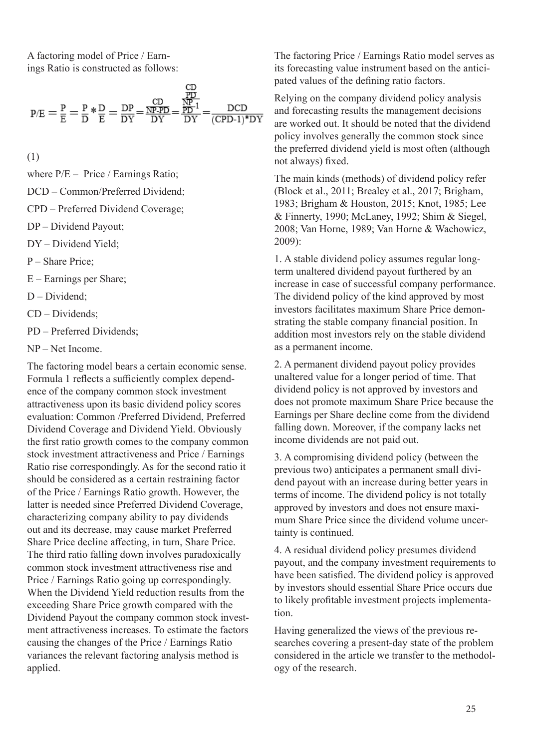A factoring model of Price / Earnings Ratio is constructed as follows:

$$
p/E = \frac{P}{E} = \frac{P}{D} * \frac{D}{E} = \frac{DP}{DY} = \frac{\frac{CD}{NP \cdot PD}}{DY} = \frac{\frac{PD}{PP \cdot 1}}{DY} = \frac{DCD}{(CPD \cdot 1) * DY}
$$

(1)

where  $P/E - Price / Earnings Ratio;$ 

DCD – Common/Preferred Dividend;

CPD – Preferred Dividend Coverage;

- DP Dividend Payout;
- DY Dividend Yield;
- P Share Price;
- E Earnings per Share;

D – Dividend;

CD – Dividends;

PD – Preferred Dividends;

NP – Net Income.

The factoring model bears a certain economic sense. Formula 1 reflects a sufficiently complex dependence of the company common stock investment attractiveness upon its basic dividend policy scores evaluation: Common /Preferred Dividend, Preferred Dividend Coverage and Dividend Yield. Obviously the first ratio growth comes to the company common stock investment attractiveness and Price / Earnings Ratio rise correspondingly. As for the second ratio it should be considered as a certain restraining factor of the Price / Earnings Ratio growth. However, the latter is needed since Preferred Dividend Coverage, characterizing company ability to pay dividends out and its decrease, may cause market Preferred Share Price decline affecting, in turn, Share Price. The third ratio falling down involves paradoxically common stock investment attractiveness rise and Price / Earnings Ratio going up correspondingly. When the Dividend Yield reduction results from the exceeding Share Price growth compared with the Dividend Payout the company common stock investment attractiveness increases. To estimate the factors causing the changes of the Price / Earnings Ratio variances the relevant factoring analysis method is applied.

The factoring Price / Earnings Ratio model serves as its forecasting value instrument based on the anticipated values of the defining ratio factors.

Relying on the company dividend policy analysis and forecasting results the management decisions are worked out. It should be noted that the dividend policy involves generally the common stock since the preferred dividend yield is most often (although not always) fixed.

The main kinds (methods) of dividend policy refer (Block et al., 2011; Brealey et al., 2017; Brigham, 1983; Brigham & Houston, 2015; Knot, 1985; Lee & Finnerty, 1990; McLaney, 1992; Shim & Siegel, 2008; Van Horne, 1989; Van Horne & Wachowicz, 2009):

1. A stable dividend policy assumes regular longterm unaltered dividend payout furthered by an increase in case of successful company performance. The dividend policy of the kind approved by most investors facilitates maximum Share Price demonstrating the stable company financial position. In addition most investors rely on the stable dividend as a permanent income.

2. A permanent dividend payout policy provides unaltered value for a longer period of time. That dividend policy is not approved by investors and does not promote maximum Share Price because the Earnings per Share decline come from the dividend falling down. Moreover, if the company lacks net income dividends are not paid out.

3. A compromising dividend policy (between the previous two) anticipates a permanent small dividend payout with an increase during better years in terms of income. The dividend policy is not totally approved by investors and does not ensure maximum Share Price since the dividend volume uncertainty is continued.

4. A residual dividend policy presumes dividend payout, and the company investment requirements to have been satisfied. The dividend policy is approved by investors should essential Share Price occurs due to likely profitable investment projects implementation.

Having generalized the views of the previous researches covering a present-day state of the problem considered in the article we transfer to the methodology of the research.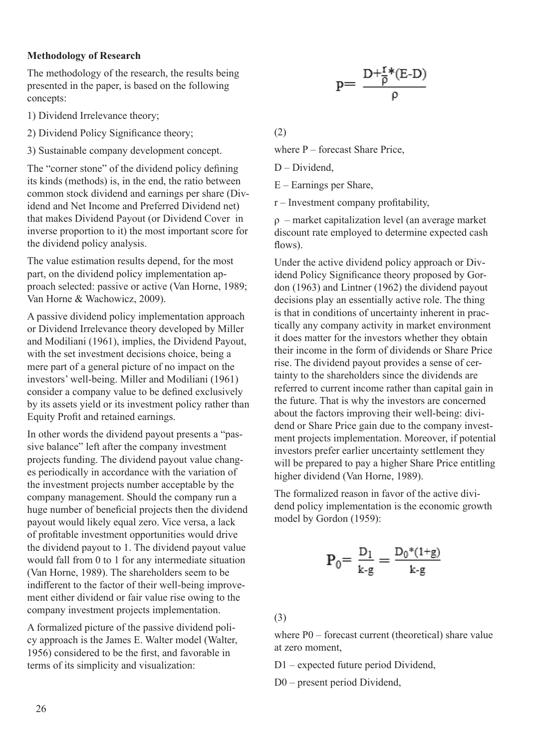## **Methodology of Research**

The methodology of the research, the results being presented in the paper, is based on the following concepts:

- 1) Dividend Irrelevance theory;
- 2) Dividend Policy Significance theory;
- 3) Sustainable company development concept.

The "corner stone" of the dividend policy defining its kinds (methods) is, in the end, the ratio between common stock dividend and earnings per share (Dividend and Net Income and Preferred Dividend net) that makes Dividend Payout (or Dividend Cover in inverse proportion to it) the most important score for the dividend policy analysis.

The value estimation results depend, for the most part, on the dividend policy implementation approach selected: passive or active (Van Horne, 1989; Van Horne & Wachowicz, 2009).

A passive dividend policy implementation approach or Dividend Irrelevance theory developed by Miller and Modiliani (1961), implies, the Dividend Payout, with the set investment decisions choice, being a mere part of a general picture of no impact on the investors' well-being. Miller and Modiliani (1961) consider a company value to be defined exclusively by its assets yield or its investment policy rather than Equity Profit and retained earnings.

In other words the dividend payout presents a "passive balance" left after the company investment projects funding. The dividend payout value changes periodically in accordance with the variation of the investment projects number acceptable by the company management. Should the company run a huge number of beneficial projects then the dividend payout would likely equal zero. Vice versa, a lack of profitable investment opportunities would drive the dividend payout to 1. The dividend payout value would fall from 0 to 1 for any intermediate situation (Van Horne, 1989). The shareholders seem to be indifferent to the factor of their well-being improvement either dividend or fair value rise owing to the company investment projects implementation.

A formalized picture of the passive dividend policy approach is the James E. Walter model (Walter, 1956) considered to be the first, and favorable in terms of its simplicity and visualization:

$$
p{=}\ \frac{D{+}\frac{r}{\rho}{}^*(E{-}D)}{\rho}
$$

(2)

where  $P$  – forecast Share Price,

D – Dividend,

E – Earnings per Share,

r – Investment company profitability,

ρ – market capitalization level (an average market discount rate employed to determine expected cash flows).

Under the active dividend policy approach or Dividend Policy Significance theory proposed by Gordon (1963) and Lintner (1962) the dividend payout decisions play an essentially active role. The thing is that in conditions of uncertainty inherent in practically any company activity in market environment it does matter for the investors whether they obtain their income in the form of dividends or Share Price rise. The dividend payout provides a sense of certainty to the shareholders since the dividends are referred to current income rather than capital gain in the future. That is why the investors are concerned about the factors improving their well-being: dividend or Share Price gain due to the company investment projects implementation. Moreover, if potential investors prefer earlier uncertainty settlement they will be prepared to pay a higher Share Price entitling higher dividend (Van Horne, 1989).

The formalized reason in favor of the active dividend policy implementation is the economic growth model by Gordon (1959):

$$
P_0 = \frac{D_1}{k \cdot g} = \frac{D_0^*(1 + g)}{k \cdot g}
$$

(3)

where P0 – forecast current (theoretical) share value at zero moment,

D1 – expected future period Dividend,

D0 – present period Dividend,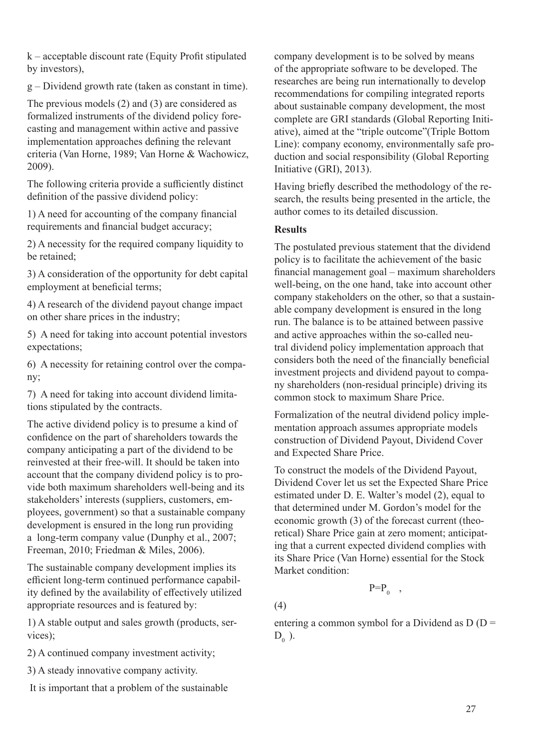k – acceptable discount rate (Equity Profit stipulated by investors),

g – Dividend growth rate (taken as constant in time).

The previous models (2) and (3) are considered as formalized instruments of the dividend policy forecasting and management within active and passive implementation approaches defining the relevant criteria (Van Horne, 1989; Van Horne & Wachowicz, 2009).

The following criteria provide a sufficiently distinct definition of the passive dividend policy:

1) A need for accounting of the company financial requirements and financial budget accuracy;

2) A necessity for the required company liquidity to be retained;

3) A consideration of the opportunity for debt capital employment at beneficial terms;

4) A research of the dividend payout change impact on other share prices in the industry;

5) A need for taking into account potential investors expectations;

6) A necessity for retaining control over the company;

7) A need for taking into account dividend limitations stipulated by the contracts.

The active dividend policy is to presume a kind of confidence on the part of shareholders towards the company anticipating a part of the dividend to be reinvested at their free-will. It should be taken into account that the company dividend policy is to provide both maximum shareholders well-being and its stakeholders' interests (suppliers, customers, employees, government) so that a sustainable company development is ensured in the long run providing a long-term company value (Dunphy et al., 2007; Freeman, 2010; Friedman & Miles, 2006).

The sustainable company development implies its efficient long-term continued performance capability defined by the availability of effectively utilized appropriate resources and is featured by:

1) A stable output and sales growth (products, services);

2) A continued company investment activity;

3) A steady innovative company activity.

It is important that a problem of the sustainable

company development is to be solved by means of the appropriate software to be developed. The researches are being run internationally to develop recommendations for compiling integrated reports about sustainable company development, the most complete are GRI standards (Global Reporting Initiative), aimed at the "triple outcome"(Triple Bottom Line): company economy, environmentally safe production and social responsibility (Global Reporting Initiative (GRI), 2013).

Having briefly described the methodology of the research, the results being presented in the article, the author comes to its detailed discussion.

## **Results**

The postulated previous statement that the dividend policy is to facilitate the achievement of the basic financial management goal – maximum shareholders well-being, on the one hand, take into account other company stakeholders on the other, so that a sustainable company development is ensured in the long run. The balance is to be attained between passive and active approaches within the so-called neutral dividend policy implementation approach that considers both the need of the financially beneficial investment projects and dividend payout to company shareholders (non-residual principle) driving its common stock to maximum Share Price.

Formalization of the neutral dividend policy implementation approach assumes appropriate models construction of Dividend Payout, Dividend Cover and Expected Share Price.

To construct the models of the Dividend Payout, Dividend Cover let us set the Expected Share Price estimated under D. E. Walter's model (2), equal to that determined under M. Gordon's model for the economic growth (3) of the forecast current (theoretical) Share Price gain at zero moment; anticipating that a current expected dividend complies with its Share Price (Van Horne) essential for the Stock Market condition:

 $P=P_0$ ,

(4)

entering a common symbol for a Dividend as  $D (D =$  $D_{0}$ ).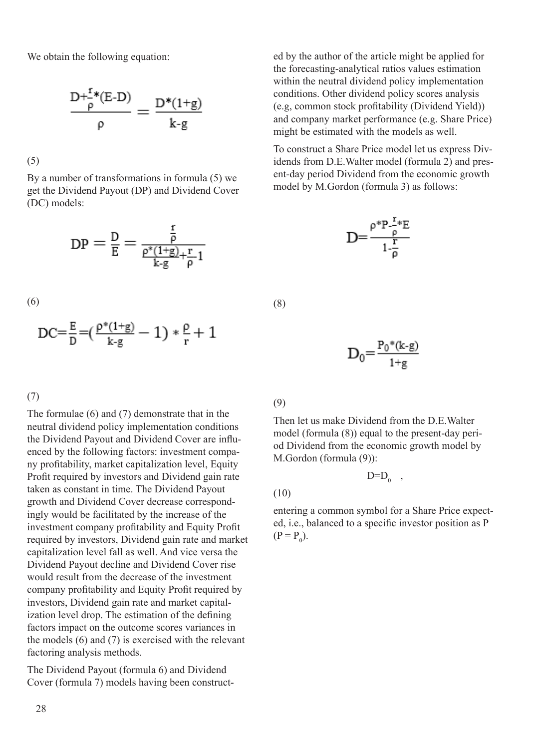We obtain the following equation:

$$
\frac{D^{+\frac{r}{p}*}(E\text{-}D)}{\rho}=\frac{D^*(1\text{+}g)}{k\text{-}g}
$$

(5)

By a number of transformations in formula (5) we get the Dividend Payout (DP) and Dividend Cover (DC) models:

$$
DP = \frac{D}{E} = \frac{\frac{r}{\rho}}{\frac{\rho^*(1+g)}{k \cdot g} + \frac{r}{\rho}1}
$$

(6)

$$
DC = \frac{E}{D} = (\frac{\rho^*(1+g)}{k \cdot g} - 1) * \frac{\rho}{r} + 1
$$

(7)

The formulae (6) and (7) demonstrate that in the neutral dividend policy implementation conditions the Dividend Payout and Dividend Cover are influenced by the following factors: investment company profitability, market capitalization level, Equity Profit required by investors and Dividend gain rate taken as constant in time. The Dividend Payout growth and Dividend Cover decrease correspondingly would be facilitated by the increase of the investment company profitability and Equity Profit required by investors, Dividend gain rate and market capitalization level fall as well. And vice versa the Dividend Payout decline and Dividend Cover rise would result from the decrease of the investment company profitability and Equity Profit required by investors, Dividend gain rate and market capitalization level drop. The estimation of the defining factors impact on the outcome scores variances in the models (6) and (7) is exercised with the relevant factoring analysis methods.

The Dividend Payout (formula 6) and Dividend Cover (formula 7) models having been constructed by the author of the article might be applied for the forecasting-analytical ratios values estimation within the neutral dividend policy implementation conditions. Other dividend policy scores analysis (e.g, common stock profitability (Dividend Yield)) and company market performance (e.g. Share Price) might be estimated with the models as well.

To construct a Share Price model let us express Dividends from D.E.Walter model (formula 2) and present-day period Dividend from the economic growth model by M.Gordon (formula 3) as follows:



(8)

$$
D_0{=}\frac{P_0{^*\!(k\text{-}g)}}{1{^+g}}
$$

## (9)

Then let us make Dividend from the D.E.Walter model (formula (8)) equal to the present-day period Dividend from the economic growth model by M.Gordon (formula (9)):

 $D=D_0$ ,

(10)

entering a common symbol for a Share Price expected, i.e., balanced to a specific investor position as P  $(P = P_0).$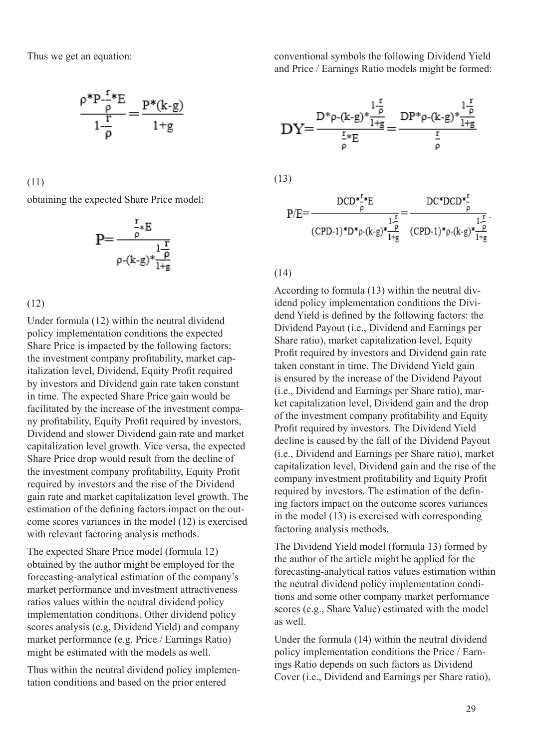Thus we get an equation:

$$
\frac{\rho^* P_{-\rho}^{-\frac{r}{\rho}*}E}{1-\frac{r}{\rho}} = \frac{P^*(k-g)}{1+g}
$$

(11)

obtaining the expected Share Price model:

$$
P=\frac{\frac{r}{\rho}*E}{\rho-(k-g)*\frac{1-\overline{p}}{1+g}}
$$

(12)

Under formula (12) within the neutral dividend policy implementation conditions the expected Share Price is impacted by the following factors: the investment company profitability, market capitalization level, Dividend, Equity Profit required by investors and Dividend gain rate taken constant in time. The expected Share Price gain would be facilitated by the increase of the investment company profitability, Equity Profit required by investors, Dividend and slower Dividend gain rate and market capitalization level growth. Vice versa, the expected Share Price drop would result from the decline of the investment company profitability, Equity Profit required by investors and the rise of the Dividend gain rate and market capitalization level growth. The estimation of the defining factors impact on the outcome scores variances in the model (12) is exercised with relevant factoring analysis methods.

The expected Share Price model (formula 12) obtained by the author might be employed for the forecasting-analytical estimation of the company's market performance and investment attractiveness ratios values within the neutral dividend policy implementation conditions. Other dividend policy scores analysis (e.g, Dividend Yield) and company market performance (e.g. Price / Earnings Ratio) might be estimated with the models as well.

Thus within the neutral dividend policy implementation conditions and based on the prior entered

conventional symbols the following Dividend Yield and Price / Earnings Ratio models might be formed:

$$
DY{=}\frac{D^* \rho -(k\text{-}g)*\frac{1\frac{r}{\rho}}{1+g}}{\frac{r}{\rho}*E} {=}\frac{DP^* \rho -(k\text{-}g)*\frac{1\frac{r}{\rho}}{1+g}}{\frac{r}{\rho}} \\\ (13) \\ p/E {=}\frac{DCD^*\frac{r}{\rho}*E}{(CPD\text{-}1)*D^*\rho -(k\text{-}g)*\frac{p}{1+g}} {=(CPD\text{-}1)*\rho -(k\text{-}g)*\frac{p}{1+g}} \\\ (CPD\text{-}1)*D^*\rho -(k\text{-}g)*\frac{p}{1+g}}{(CPD\text{-}1)*\rho -(k\text{-}g)*\frac{p}{1+g}}
$$

(14)

According to formula (13) within the neutral dividend policy implementation conditions the Dividend Yield is defined by the following factors: the Dividend Payout (i.e., Dividend and Earnings per Share ratio), market capitalization level, Equity Profit required by investors and Dividend gain rate taken constant in time. The Dividend Yield gain is ensured by the increase of the Dividend Payout (i.e., Dividend and Earnings per Share ratio), market capitalization level, Dividend gain and the drop of the investment company profitability and Equity Profit required by investors. The Dividend Yield decline is caused by the fall of the Dividend Payout (i.e., Dividend and Earnings per Share ratio), market capitalization level, Dividend gain and the rise of the company investment profitability and Equity Profit required by investors. The estimation of the defining factors impact on the outcome scores variances in the model (13) is exercised with corresponding factoring analysis methods.

The Dividend Yield model (formula 13) formed by the author of the article might be applied for the forecasting-analytical ratios values estimation within the neutral dividend policy implementation conditions and some other company market performance scores (e.g., Share Value) estimated with the model as well.

Under the formula (14) within the neutral dividend policy implementation conditions the Price / Earnings Ratio depends on such factors as Dividend Cover (i.e., Dividend and Earnings per Share ratio),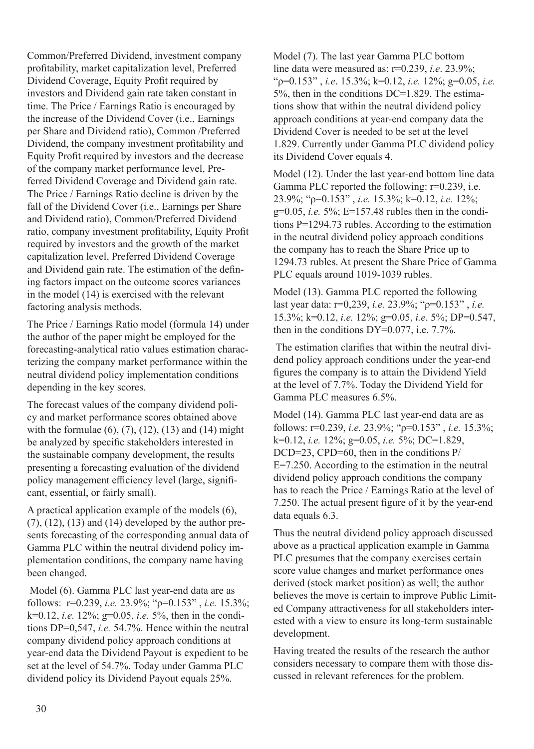Common/Preferred Dividend, investment company profitability, market capitalization level, Preferred Dividend Coverage, Equity Profit required by investors and Dividend gain rate taken constant in time. The Price / Earnings Ratio is encouraged by the increase of the Dividend Cover (i.e., Earnings per Share and Dividend ratio), Common /Preferred Dividend, the company investment profitability and Equity Profit required by investors and the decrease of the company market performance level, Preferred Dividend Coverage and Dividend gain rate. The Price / Earnings Ratio decline is driven by the fall of the Dividend Cover (i.e., Earnings per Share and Dividend ratio), Common/Preferred Dividend ratio, company investment profitability, Equity Profit required by investors and the growth of the market capitalization level, Preferred Dividend Coverage and Dividend gain rate. The estimation of the defining factors impact on the outcome scores variances in the model (14) is exercised with the relevant factoring analysis methods.

The Price / Earnings Ratio model (formula 14) under the author of the paper might be employed for the forecasting-analytical ratio values estimation characterizing the company market performance within the neutral dividend policy implementation conditions depending in the key scores.

The forecast values of the company dividend policy and market performance scores obtained above with the formulae  $(6)$ ,  $(7)$ ,  $(12)$ ,  $(13)$  and  $(14)$  might be analyzed by specific stakeholders interested in the sustainable company development, the results presenting a forecasting evaluation of the dividend policy management efficiency level (large, significant, essential, or fairly small).

A practical application example of the models (6),  $(7)$ ,  $(12)$ ,  $(13)$  and  $(14)$  developed by the author presents forecasting of the corresponding annual data of Gamma PLC within the neutral dividend policy implementation conditions, the company name having been changed.

 Model (6). Gamma PLC last year-end data are as follows: r=0.239, *i.е.* 23.9%; "ρ=0.153" , *i.е.* 15.3%; k=0.12, *i.е.* 12%; g=0.05, *i.е.* 5%, then in the conditions DP=0,547, *i.е.* 54.7%. Hence within the neutral company dividend policy approach conditions at year-end data the Dividend Payout is expedient to be set at the level of 54.7%. Today under Gamma PLC dividend policy its Dividend Payout equals 25%.

Model (7). The last year Gamma PLC bottom line data were measured as: r=0.239, *i.е*. 23.9%; "ρ=0.153" , *i.е*. 15.3%; k=0.12, *i.е.* 12%; g=0.05, *i.е.*  5%, then in the conditions DC=1.829. The estimations show that within the neutral dividend policy approach conditions at year-end company data the Dividend Cover is needed to be set at the level 1.829. Currently under Gamma PLC dividend policy its Dividend Cover equals 4.

Model (12). Under the last year-end bottom line data Gamma PLC reported the following: r=0.239, i.е. 23.9%; "ρ=0.153" , *i.е.* 15.3%; k=0.12, *i.е.* 12%; g=0.05, *i.e.* 5%; E=157.48 rubles then in the conditions P=1294.73 rubles. According to the estimation in the neutral dividend policy approach conditions the company has to reach the Share Price up to 1294.73 rubles. At present the Share Price of Gamma PLC equals around 1019-1039 rubles.

Model (13). Gamma PLC reported the following last year data: r=0,239, *i.е.* 23.9%; "ρ=0.153" , *i.е.* 15.3%; k=0.12, *i.е.* 12%; g=0.05, *i.е*. 5%; DP=0.547, then in the conditions  $DY=0.077$ , i.e. 7.7%.

 The estimation clarifies that within the neutral dividend policy approach conditions under the year-end figures the company is to attain the Dividend Yield at the level of 7.7%. Today the Dividend Yield for Gamma PLC measures 6.5%.

Model (14). Gamma PLC last year-end data are as follows: r=0.239, *i.е.* 23.9%; "ρ=0.153" , *i.е.* 15.3%; k=0.12, *i.е.* 12%; g=0.05, *i.е.* 5%; DC=1.829, DCD=23, CPD=60, then in the conditions P/ E=7.250. According to the estimation in the neutral dividend policy approach conditions the company has to reach the Price / Earnings Ratio at the level of 7.250. The actual present figure of it by the year-end data equals 6.3.

Thus the neutral dividend policy approach discussed above as a practical application example in Gamma PLC presumes that the company exercises certain score value changes and market performance ones derived (stock market position) as well; the author believes the move is certain to improve Public Limited Company attractiveness for all stakeholders interested with a view to ensure its long-term sustainable development.

Having treated the results of the research the author considers necessary to compare them with those discussed in relevant references for the problem.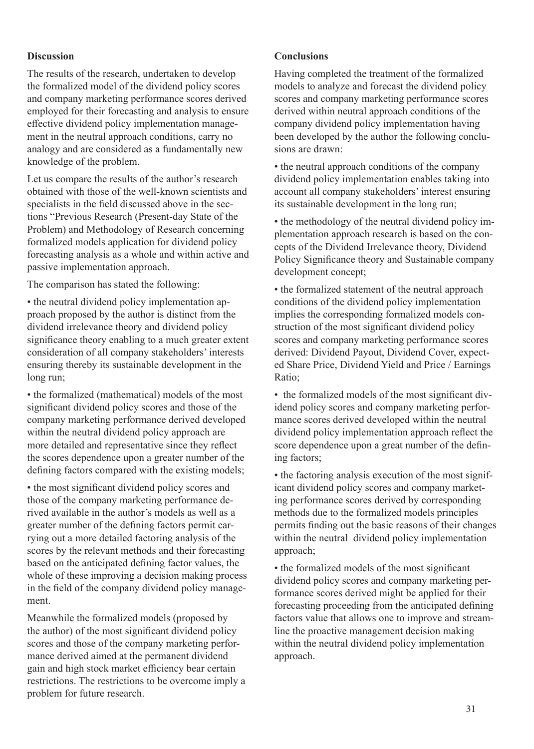## **Discussion**

The results of the research, undertaken to develop the formalized model of the dividend policy scores and company marketing performance scores derived employed for their forecasting and analysis to ensure effective dividend policy implementation management in the neutral approach conditions, carry no analogy and are considered as a fundamentally new knowledge of the problem.

Let us compare the results of the author's research obtained with those of the well-known scientists and specialists in the field discussed above in the sections "Previous Research (Present-day State of the Problem) and Methodology of Research concerning formalized models application for dividend policy forecasting analysis as a whole and within active and passive implementation approach.

The comparison has stated the following:

• the neutral dividend policy implementation approach proposed by the author is distinct from the dividend irrelevance theory and dividend policy significance theory enabling to a much greater extent consideration of all company stakeholders' interests ensuring thereby its sustainable development in the long run;

• the formalized (mathematical) models of the most significant dividend policy scores and those of the company marketing performance derived developed within the neutral dividend policy approach are more detailed and representative since they reflect the scores dependence upon a greater number of the defining factors compared with the existing models;

• the most significant dividend policy scores and those of the company marketing performance derived available in the author's models as well as a greater number of the defining factors permit carrying out a more detailed factoring analysis of the scores by the relevant methods and their forecasting based on the anticipated defining factor values, the whole of these improving a decision making process in the field of the company dividend policy management.

Meanwhile the formalized models (proposed by the author) of the most significant dividend policy scores and those of the company marketing performance derived aimed at the permanent dividend gain and high stock market efficiency bear certain restrictions. The restrictions to be overcome imply a problem for future research.

## **Conclusions**

Having completed the treatment of the formalized models to analyze and forecast the dividend policy scores and company marketing performance scores derived within neutral approach conditions of the company dividend policy implementation having been developed by the author the following conclusions are drawn:

• the neutral approach conditions of the company dividend policy implementation enables taking into account all company stakeholders' interest ensuring its sustainable development in the long run;

• the methodology of the neutral dividend policy implementation approach research is based on the concepts of the Dividend Irrelevance theory, Dividend Policy Significance theory and Sustainable company development concept;

• the formalized statement of the neutral approach conditions of the dividend policy implementation implies the corresponding formalized models construction of the most significant dividend policy scores and company marketing performance scores derived: Dividend Payout, Dividend Cover, expected Share Price, Dividend Yield and Price / Earnings Ratio;

• the formalized models of the most significant dividend policy scores and company marketing performance scores derived developed within the neutral dividend policy implementation approach reflect the score dependence upon a great number of the defining factors;

• the factoring analysis execution of the most significant dividend policy scores and company marketing performance scores derived by corresponding methods due to the formalized models principles permits finding out the basic reasons of their changes within the neutral dividend policy implementation approach;

• the formalized models of the most significant dividend policy scores and company marketing performance scores derived might be applied for their forecasting proceeding from the anticipated defining factors value that allows one to improve and streamline the proactive management decision making within the neutral dividend policy implementation approach.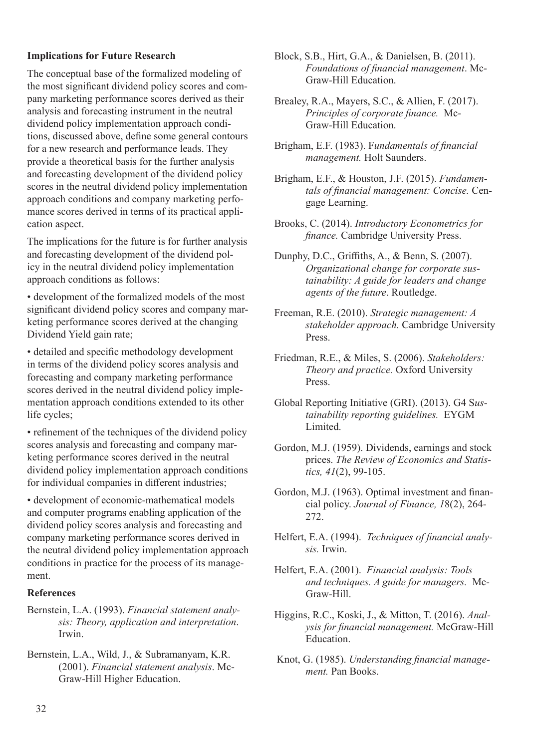## **Implications for Future Research**

The conceptual base of the formalized modeling of the most significant dividend policy scores and company marketing performance scores derived as their analysis and forecasting instrument in the neutral dividend policy implementation approach conditions, discussed above, define some general contours for a new research and performance leads. They provide a theoretical basis for the further analysis and forecasting development of the dividend policy scores in the neutral dividend policy implementation approach conditions and company marketing perfomance scores derived in terms of its practical application aspect.

The implications for the future is for further analysis and forecasting development of the dividend policy in the neutral dividend policy implementation approach conditions as follows:

• development of the formalized models of the most significant dividend policy scores and company marketing performance scores derived at the changing Dividend Yield gain rate;

• detailed and specific methodology development in terms of the dividend policy scores analysis and forecasting and company marketing performance scores derived in the neutral dividend policy implementation approach conditions extended to its other life cycles;

• refinement of the techniques of the dividend policy scores analysis and forecasting and company marketing performance scores derived in the neutral dividend policy implementation approach conditions for individual companies in different industries;

• development of economic-mathematical models and computer programs enabling application of the dividend policy scores analysis and forecasting and company marketing performance scores derived in the neutral dividend policy implementation approach conditions in practice for the process of its management.

## **References**

Bernstein, L.A. (1993). *Financial statement analysis: Theory, application and interpretation*. Irwin.

Bernstein, L.A., Wild, J., & Subramanyam, K.R. (2001). *Financial statement analysis*. Mc-Graw-Hill Higher Education.

Block, S.B., Hirt, G.A., & Danielsen, B. (2011). *Foundations of financial management*. Mc-Graw-Hill Education.

Brealey, R.A., Mayers, S.C., & Allien, F. (2017). *Principles of corporate finance.* Mc-Graw-Hill Education.

Brigham, E.F. (1983). F*undamentals of financial management.* Holt Saunders.

Brigham, E.F., & Houston, J.F. (2015). *Fundamentals of financial management: Concise.* Cengage Learning.

Brooks, C. (2014). *Introductory Econometrics for finance.* Cambridge University Press.

Dunphy, D.C., Griffiths, A., & Benn, S. (2007). *Organizational change for corporate sustainability: A guide for leaders and change agents of the future*. Routledge.

- Freeman, R.E. (2010). *Strategic management: A stakeholder approach.* Cambridge University Press.
- Friedman, R.E., & Miles, S. (2006). *Stakeholders: Theory and practice.* Oxford University Press.

Global Reporting Initiative (GRI). (2013). G4 S*ustainability reporting guidelines.* EYGM Limited.

Gordon, M.J. (1959). Dividends, earnings and stock prices. *The Review of Economics and Statistics, 41*(2), 99-105.

Gordon, M.J. (1963). Optimal investment and financial policy. *Journal of Finance, 1*8(2), 264- 272.

Helfert, E.A. (1994). *Techniques of financial analysis.* Irwin.

Helfert, E.A. (2001). *Financial analysis: Tools and techniques. A guide for managers.* Mc-Graw-Hill.

Higgins, R.C., Koski, J., & Mitton, T. (2016). *Analysis for financial management.* McGraw-Hill Education.

 Knot, G. (1985). *Understanding financial management.* Pan Books.